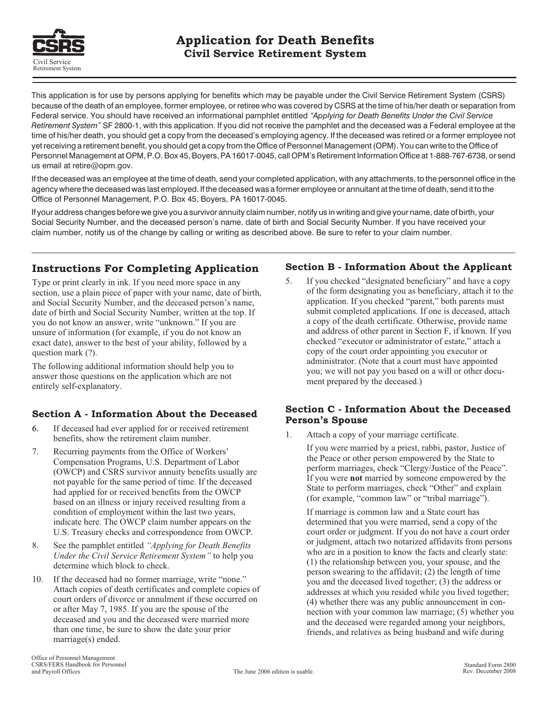

This application is for use by persons applying for benefits which may be payable under the Civil Service Retirement System (CSRS) because of the death of an employee, former employee, or retiree who was covered by CSRS at the time of his/her death or separation from Federal service. You should have received an informational pamphlet entitled *"Applying for Death Benefits Under the Civil Service Retirement System"* SF 2800-1, with this application. If you did not receive the pamphlet and the deceased was a Federal employee at the time of his/her death, you should get a copy from the deceased's employing agency. If the deceased was retired or a former employee not yet receiving a retirement benefit, you should get a copy from the Office of Personnel Management (OPM). You can write to the Office of Personnel Management at OPM, P.O. Box 45, Boyers, PA 16017-0045, call OPM's Retirement Information Office at 1-888-767-6738, or send us email at retire@opm.gov.

If the deceased was an employee at the time of death, send your completed application, with any attachments, to the personnel office in the agency where the deceased was last employed. If the deceased was a former employee or annuitant at the time of death, send it to the Office of Personnel Management, P.O. Box 45, Boyers, PA 16017-0045.

If your address changes before we give you a survivor annuity claim number, notify us in writing and give your name, date of birth, your Social Security Number, and the deceased person's name, date of birth and Social Security Number. If you have received your claim number, notify us of the change by calling or writing as described above. Be sure to refer to your claim number.

# **Instructions For Completing Application Section B - Information About the Applicant**

Type or print clearly in ink. If you need more space in any section, use a plain piece of paper with your name, date of birth, and Social Security Number, and the deceased person's name, date of birth and Social Security Number, written at the top. If you do not know an answer, write "unknown." If you are unsure of information (for example, if you do not know an exact date), answer to the best of your ability, followed by a question mark (?).

- benefits, show the retirement claim number.
- 7. Recurring payments from the Office of Workers' Compensation Programs, U.S. Department of Labor (OWCP) and CSRS survivor annuity benefits usually are not payable for the same period of time. If the deceased If you were **not** married by someone empowered by the had applied for or received benefits from the OWCP State to perform marriages, check "Other" and explain had applied for or received benefits from the OWCP based on an illness or injury received resulting from a condition of employment within the last two years, indicate here. The OWCP claim number appears on the
- *Under the Civil Service Retirement System"* to help you
- 10. If the deceased had no former marriage, write "none." Attach copies of death certificates and complete copies of court orders of divorce or annulment if these occurred on or after May 7, 1985. If you are the spouse of the deceased and you and the deceased were married more than one time, be sure to show the date your prior friends, and relatives as being husband and wife during marriage(s) ended.

5. If you checked "designated beneficiary" and have a copy of the form designating you as beneficiary, attach it to the application. If you checked "parent," both parents must submit completed applications. If one is deceased, attach a copy of the death certificate. Otherwise, provide name and address of other parent in Section F, if known. If you checked "executor or administrator of estate," attach a copy of the court order appointing you executor or The following additional information should help you to<br>answer those questions on the application which are not<br>entirely self-explanatory.<br>entirely self-explanatory.

# **Section A - Information About the Deceased**<br>**Person's Spouse**<br>**Person's Spouse**<br>**Person's Spouse**<br>**1.** Attach a copy of your marriage certificate.

If you were married by a priest, rabbi, pastor, Justice of the Peace or other person empowered by the State to perform marriages, check "Clergy/Justice of the Peace". (for example, "common law" or "tribal marriage").

If marriage is common law and a State court has determined that you were married, send a copy of the U.S. Treasury checks and correspondence from OWCP. court order or judgment. If you do not have a court order 8. See the pamphlet entitled *"Applying for Death Benefits* or judgment, attach two notarized affidavits from persons who are in a position to know the facts and clearly state: (1) the relationship between you, your spouse, and the determine which block to check.<br>
determine which block to check. you and the deceased lived together; (3) the address or addresses at which you resided while you lived together; (4) whether there was any public announcement in connection with your common law marriage; (5) whether you and the deceased were regarded among your neighbors,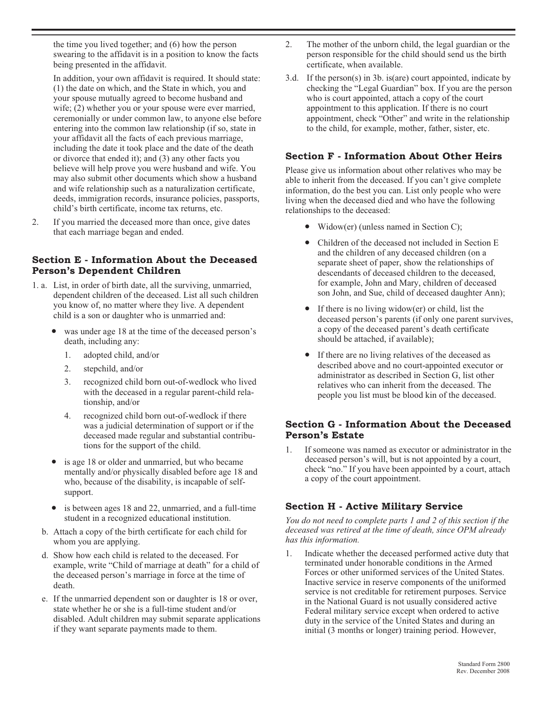the time you lived together; and (6) how the person swearing to the affidavit is in a position to know the facts being presented in the affidavit.

In addition, your own affidavit is required. It should state: (1) the date on which, and the State in which, you and your spouse mutually agreed to become husband and wife; (2) whether you or your spouse were ever married, ceremonially or under common law, to anyone else before entering into the common law relationship (if so, state in your affidavit all the facts of each previous marriage, including the date it took place and the date of the death or divorce that ended it); and (3) any other facts you believe will help prove you were husband and wife. You may also submit other documents which show a husband and wife relationship such as a naturalization certificate, deeds, immigration records, insurance policies, passports, child's birth certificate, income tax returns, etc.

2. If you married the deceased more than once, give dates that each marriage began and ended.

### **Section E - Information About the Deceased Person's Dependent Children**

- 1. a. List, in order of birth date, all the surviving, unmarried, dependent children of the deceased. List all such children you know of, no matter where they live. A dependent child is a son or daughter who is unmarried and:
	- was under age 18 at the time of the deceased person's death, including any:
		- 1. adopted child, and/or
		- 2. stepchild, and/or
		- 3. recognized child born out-of-wedlock who lived with the deceased in a regular parent-child relationship, and/or
		- 4. recognized child born out-of-wedlock if there was a judicial determination of support or if the deceased made regular and substantial contributions for the support of the child.
	- is age 18 or older and unmarried, but who became mentally and/or physically disabled before age 18 and who, because of the disability, is incapable of selfsupport.
	- is between ages 18 and 22, unmarried, and a full-time student in a recognized educational institution.
	- b. Attach a copy of the birth certificate for each child for whom you are applying.
	- d. Show how each child is related to the deceased. For example, write "Child of marriage at death" for a child of the deceased person's marriage in force at the time of death.
	- e. If the unmarried dependent son or daughter is 18 or over, state whether he or she is a full-time student and/or disabled. Adult children may submit separate applications if they want separate payments made to them.
- 2. The mother of the unborn child, the legal guardian or the person responsible for the child should send us the birth certificate, when available.
- 3.d. If the person(s) in 3b. is(are) court appointed, indicate by checking the "Legal Guardian" box. If you are the person who is court appointed, attach a copy of the court appointment to this application. If there is no court appointment, check "Other" and write in the relationship to the child, for example, mother, father, sister, etc.

#### **Section F - Information About Other Heirs**

Please give us information about other relatives who may be able to inherit from the deceased. If you can't give complete information, do the best you can. List only people who were living when the deceased died and who have the following relationships to the deceased:

- Widow(er) (unless named in Section C);
- Children of the deceased not included in Section E and the children of any deceased children (on a separate sheet of paper, show the relationships of descendants of deceased children to the deceased, for example, John and Mary, children of deceased son John, and Sue, child of deceased daughter Ann);
- If there is no living widow( $er$ ) or child, list the deceased person's parents (if only one parent survives, a copy of the deceased parent's death certificate should be attached, if available);
- If there are no living relatives of the deceased as described above and no court-appointed executor or administrator as described in Section G, list other relatives who can inherit from the deceased. The people you list must be blood kin of the deceased.

#### **Section G - Information About the Deceased Person's Estate**

1. If someone was named as executor or administrator in the deceased person's will, but is not appointed by a court, check "no." If you have been appointed by a court, attach a copy of the court appointment.

## **Section H - Active Military Service**

*You do not need to complete parts 1 and 2 of this section if the deceased was retired at the time of death, since OPM already has this information.*

1. Indicate whether the deceased performed active duty that terminated under honorable conditions in the Armed Forces or other uniformed services of the United States. Inactive service in reserve components of the uniformed service is not creditable for retirement purposes. Service in the National Guard is not usually considered active Federal military service except when ordered to active duty in the service of the United States and during an initial (3 months or longer) training period. However,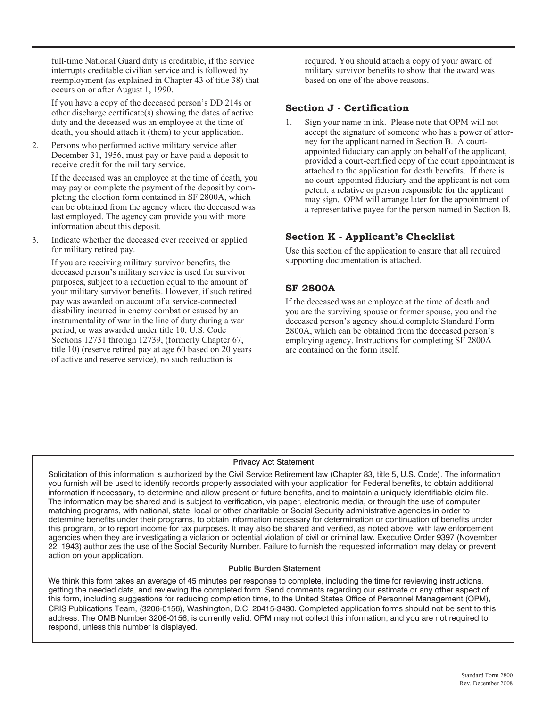full-time National Guard duty is creditable, if the service interrupts creditable civilian service and is followed by reemployment (as explained in Chapter 43 of title 38) that occurs on or after August 1, 1990.

If you have a copy of the deceased person's DD 214s or other discharge certificate(s) showing the dates of active duty and the deceased was an employee at the time of death, you should attach it (them) to your application.

2. Persons who performed active military service after December 31, 1956, must pay or have paid a deposit to receive credit for the military service.

If the deceased was an employee at the time of death, you may pay or complete the payment of the deposit by completing the election form contained in SF 2800A, which can be obtained from the agency where the deceased was last employed. The agency can provide you with more information about this deposit.

3. Indicate whether the deceased ever received or applied for military retired pay.

If you are receiving military survivor benefits, the deceased person's military service is used for survivor purposes, subject to a reduction equal to the amount of your military survivor benefits. However, if such retired pay was awarded on account of a service-connected disability incurred in enemy combat or caused by an instrumentality of war in the line of duty during a war period, or was awarded under title 10, U.S. Code Sections 12731 through 12739, (formerly Chapter 67, title 10) (reserve retired pay at age 60 based on 20 years of active and reserve service), no such reduction is

required. You should attach a copy of your award of military survivor benefits to show that the award was based on one of the above reasons.

#### **Section J - Certification**

1. Sign your name in ink. Please note that OPM will not accept the signature of someone who has a power of attorney for the applicant named in Section B. A courtappointed fiduciary can apply on behalf of the applicant, provided a court-certified copy of the court appointment is attached to the application for death benefits. If there is no court-appointed fiduciary and the applicant is not competent, a relative or person responsible for the applicant may sign. OPM will arrange later for the appointment of a representative payee for the person named in Section B.

#### **Section K - Applicant's Checklist**

Use this section of the application to ensure that all required supporting documentation is attached.

## **SF 2800A**

If the deceased was an employee at the time of death and you are the surviving spouse or former spouse, you and the deceased person's agency should complete Standard Form 2800A, which can be obtained from the deceased person's employing agency. Instructions for completing SF 2800A are contained on the form itself.

#### Privacy Act Statement

Solicitation of this information is authorized by the Civil Service Retirement law (Chapter 83, title 5, U.S. Code). The information you furnish will be used to identify records properly associated with your application for Federal benefits, to obtain additional information if necessary, to determine and allow present or future benefits, and to maintain a uniquely identifiable claim file. The information may be shared and is subject to verification, via paper, electronic media, or through the use of computer matching programs, with national, state, local or other charitable or Social Security administrative agencies in order to determine benefits under their programs, to obtain information necessary for determination or continuation of benefits under this program, or to report income for tax purposes. It may also be shared and verified, as noted above, with law enforcement agencies when they are investigating a violation or potential violation of civil or criminal law. Executive Order 9397 (November 22, 1943) authorizes the use of the Social Security Number. Failure to furnish the requested information may delay or prevent action on your application.

#### Public Burden Statement

We think this form takes an average of 45 minutes per response to complete, including the time for reviewing instructions, getting the needed data, and reviewing the completed form. Send comments regarding our estimate or any other aspect of this form, including suggestions for reducing completion time, to the United States Office of Personnel Management (OPM), CRIS Publications Team, (3206-0156), Washington, D.C. 20415-3430. Completed application forms should not be sent to this address. The OMB Number 3206-0156, is currently valid. OPM may not collect this information, and you are not required to respond, unless this number is displayed.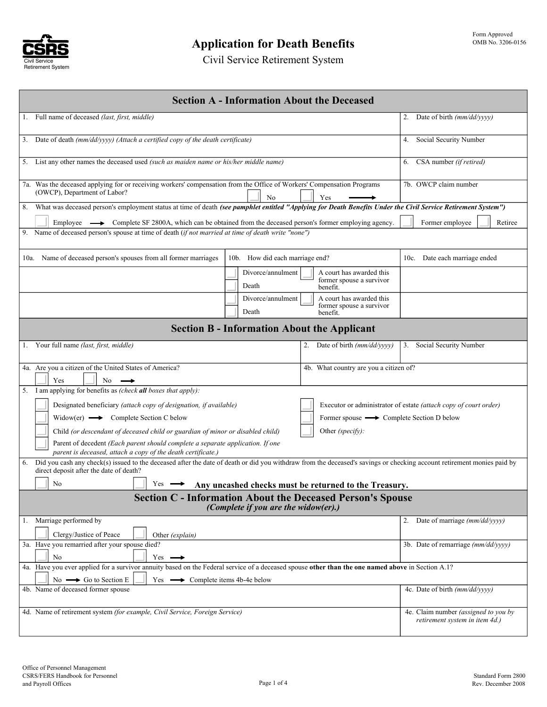

Civil Service Retirement System

| <b>Section A - Information About the Deceased</b>                                                                                                                                                                       |                                                                        |  |  |  |  |  |  |  |
|-------------------------------------------------------------------------------------------------------------------------------------------------------------------------------------------------------------------------|------------------------------------------------------------------------|--|--|--|--|--|--|--|
| 1. Full name of deceased (last, first, middle)                                                                                                                                                                          | 2. Date of birth (mm/dd/yyyy)                                          |  |  |  |  |  |  |  |
| 3. Date of death (mm/dd/yyyy) (Attach a certified copy of the death certificate)                                                                                                                                        | Social Security Number<br>4.                                           |  |  |  |  |  |  |  |
| 5. List any other names the deceased used (such as maiden name or his/her middle name)                                                                                                                                  | 6. CSA number (if retired)                                             |  |  |  |  |  |  |  |
| 7a. Was the deceased applying for or receiving workers' compensation from the Office of Workers' Compensation Programs<br>(OWCP), Department of Labor?<br>N <sub>0</sub><br>Yes                                         | 7b. OWCP claim number                                                  |  |  |  |  |  |  |  |
| 8. What was deceased person's employment status at time of death (see pamphlet entitled "Applying for Death Benefits Under the Civil Service Retirement System")                                                        |                                                                        |  |  |  |  |  |  |  |
| Employee $\longrightarrow$ Complete SF 2800A, which can be obtained from the deceased person's former employing agency.<br>Former employee<br>Retiree                                                                   |                                                                        |  |  |  |  |  |  |  |
| 9. Name of deceased person's spouse at time of death (if not married at time of death write "none")                                                                                                                     |                                                                        |  |  |  |  |  |  |  |
| 10a. Name of deceased person's spouses from all former marriages<br>10b. How did each marriage end?                                                                                                                     | 10c. Date each marriage ended                                          |  |  |  |  |  |  |  |
| Divorce/annulment<br>A court has awarded this<br>former spouse a survivor<br>Death<br>benefit.                                                                                                                          |                                                                        |  |  |  |  |  |  |  |
| Divorce/annulment<br>A court has awarded this<br>former spouse a survivor<br>Death<br>benefit.                                                                                                                          |                                                                        |  |  |  |  |  |  |  |
| <b>Section B - Information About the Applicant</b>                                                                                                                                                                      |                                                                        |  |  |  |  |  |  |  |
| 1. Your full name (last, first, middle)<br>2. Date of birth (mm/dd/yyyy)                                                                                                                                                | 3. Social Security Number                                              |  |  |  |  |  |  |  |
| 4a. Are you a citizen of the United States of America?<br>4b. What country are you a citizen of?<br>Yes<br>No                                                                                                           |                                                                        |  |  |  |  |  |  |  |
| 5. I am applying for benefits as (check all boxes that apply):                                                                                                                                                          |                                                                        |  |  |  |  |  |  |  |
| Designated beneficiary (attach copy of designation, if available)                                                                                                                                                       | Executor or administrator of estate (attach copy of court order)       |  |  |  |  |  |  |  |
| $Window(er) \longrightarrow$ Complete Section C below<br>Former spouse $\longrightarrow$ Complete Section D below                                                                                                       |                                                                        |  |  |  |  |  |  |  |
| Other <i>(specify)</i> :<br>Child (or descendant of deceased child or guardian of minor or disabled child)                                                                                                              |                                                                        |  |  |  |  |  |  |  |
| Parent of decedent (Each parent should complete a separate application. If one<br>parent is deceased, attach a copy of the death certificate.)                                                                          |                                                                        |  |  |  |  |  |  |  |
| Did you cash any check(s) issued to the deceased after the date of death or did you withdraw from the deceased's savings or checking account retirement monies paid by<br>6.<br>direct deposit after the date of death? |                                                                        |  |  |  |  |  |  |  |
| No<br>$Y_{\text{es}} \longrightarrow$ Any uncashed checks must be returned to the Treasury.                                                                                                                             |                                                                        |  |  |  |  |  |  |  |
| <b>Section C - Information About the Deceased Person's Spouse</b><br>(Complete if you are the widow(er).)                                                                                                               |                                                                        |  |  |  |  |  |  |  |
| 1. Marriage performed by                                                                                                                                                                                                | Date of marriage (mm/dd/yyyy)<br>2.                                    |  |  |  |  |  |  |  |
| Clergy/Justice of Peace<br>Other (explain)                                                                                                                                                                              |                                                                        |  |  |  |  |  |  |  |
| 3a. Have you remarried after your spouse died?<br>No<br>$Yes \rightarrow$                                                                                                                                               | 3b. Date of remarriage (mm/dd/yyyy)                                    |  |  |  |  |  |  |  |
| 4a. Have you ever applied for a survivor annuity based on the Federal service of a deceased spouse other than the one named above in Section A.1?                                                                       |                                                                        |  |  |  |  |  |  |  |
| $No \longrightarrow Go$ to Section E<br>Yes $\longrightarrow$ Complete items 4b-4e below                                                                                                                                |                                                                        |  |  |  |  |  |  |  |
| 4b. Name of deceased former spouse                                                                                                                                                                                      | 4c. Date of birth (mm/dd/yyyy)                                         |  |  |  |  |  |  |  |
| 4d. Name of retirement system (for example, Civil Service, Foreign Service)                                                                                                                                             | 4e. Claim number (assigned to you by<br>retirement system in item 4d.) |  |  |  |  |  |  |  |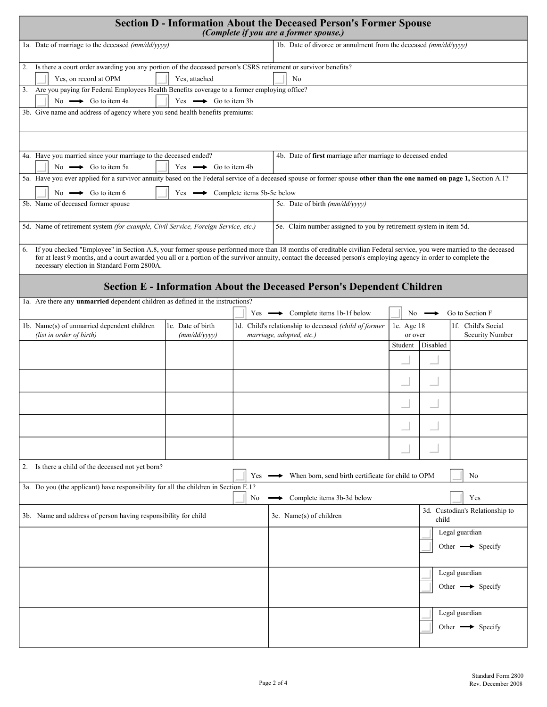| <b>Section D - Information About the Deceased Person's Former Spouse</b><br>(Complete if you are a former spouse.)                                                                                                                                                  |                                                                                                                                                                                                                                                                                                                                         |    |                                                                               |                                          |                                 |                                 |  |  |  |  |
|---------------------------------------------------------------------------------------------------------------------------------------------------------------------------------------------------------------------------------------------------------------------|-----------------------------------------------------------------------------------------------------------------------------------------------------------------------------------------------------------------------------------------------------------------------------------------------------------------------------------------|----|-------------------------------------------------------------------------------|------------------------------------------|---------------------------------|---------------------------------|--|--|--|--|
| 1a. Date of marriage to the deceased (mm/dd/yyyy)                                                                                                                                                                                                                   |                                                                                                                                                                                                                                                                                                                                         |    | 1b. Date of divorce or annulment from the deceased (mm/dd/yyyy)               |                                          |                                 |                                 |  |  |  |  |
| 2. Is there a court order awarding you any portion of the deceased person's CSRS retirement or survivor benefits?<br>Yes, attached<br>Yes, on record at OPM<br>No<br>3. Are you paying for Federal Employees Health Benefits coverage to a former employing office? |                                                                                                                                                                                                                                                                                                                                         |    |                                                                               |                                          |                                 |                                 |  |  |  |  |
| No $\longrightarrow$ Go to item 4a                                                                                                                                                                                                                                  | Yes $\longrightarrow$ Go to item 3b                                                                                                                                                                                                                                                                                                     |    |                                                                               |                                          |                                 |                                 |  |  |  |  |
| 3b. Give name and address of agency where you send health benefits premiums:                                                                                                                                                                                        |                                                                                                                                                                                                                                                                                                                                         |    |                                                                               |                                          |                                 |                                 |  |  |  |  |
|                                                                                                                                                                                                                                                                     |                                                                                                                                                                                                                                                                                                                                         |    |                                                                               |                                          |                                 |                                 |  |  |  |  |
| 4a. Have you married since your marriage to the deceased ended?<br>No $\longrightarrow$ Go to item 5a                                                                                                                                                               | Yes $\longrightarrow$ Go to item 4b                                                                                                                                                                                                                                                                                                     |    | 4b. Date of first marriage after marriage to deceased ended                   |                                          |                                 |                                 |  |  |  |  |
| 5a. Have you ever applied for a survivor annuity based on the Federal service of a deceased spouse or former spouse other than the one named on page 1, Section A.1?<br>No $\longrightarrow$ Go to item 6                                                           | Yes $\longrightarrow$ Complete items 5b-5e below                                                                                                                                                                                                                                                                                        |    |                                                                               |                                          |                                 |                                 |  |  |  |  |
| 5b. Name of deceased former spouse                                                                                                                                                                                                                                  |                                                                                                                                                                                                                                                                                                                                         |    | 5c. Date of birth (mm/dd/yyyy)                                                |                                          |                                 |                                 |  |  |  |  |
| 5d. Name of retirement system (for example, Civil Service, Foreign Service, etc.)                                                                                                                                                                                   |                                                                                                                                                                                                                                                                                                                                         |    | 5e. Claim number assigned to you by retirement system in item 5d.             |                                          |                                 |                                 |  |  |  |  |
| 6.<br>necessary election in Standard Form 2800A.                                                                                                                                                                                                                    | If you checked "Employee" in Section A.8, your former spouse performed more than 18 months of creditable civilian Federal service, you were married to the deceased<br>for at least 9 months, and a court awarded you all or a portion of the survivor annuity, contact the deceased person's employing agency in order to complete the |    |                                                                               |                                          |                                 |                                 |  |  |  |  |
|                                                                                                                                                                                                                                                                     |                                                                                                                                                                                                                                                                                                                                         |    | <b>Section E - Information About the Deceased Person's Dependent Children</b> |                                          |                                 |                                 |  |  |  |  |
| 1a. Are there any unmarried dependent children as defined in the instructions?                                                                                                                                                                                      |                                                                                                                                                                                                                                                                                                                                         |    | Yes $\longrightarrow$ Complete items 1b-1f below                              | No.                                      |                                 | Go to Section F                 |  |  |  |  |
| 1b. Name(s) of unmarried dependent children                                                                                                                                                                                                                         | 1c. Date of birth                                                                                                                                                                                                                                                                                                                       |    | 1d. Child's relationship to deceased (child of former                         | 1e. Age 18                               |                                 | 1f. Child's Social              |  |  |  |  |
| (list in order of birth)                                                                                                                                                                                                                                            | (mm/dd/yyyy)                                                                                                                                                                                                                                                                                                                            |    | marriage, adopted, etc.)                                                      | or over<br>Student                       | Disabled                        | Security Number                 |  |  |  |  |
|                                                                                                                                                                                                                                                                     |                                                                                                                                                                                                                                                                                                                                         |    |                                                                               |                                          |                                 |                                 |  |  |  |  |
|                                                                                                                                                                                                                                                                     |                                                                                                                                                                                                                                                                                                                                         |    |                                                                               |                                          |                                 |                                 |  |  |  |  |
|                                                                                                                                                                                                                                                                     |                                                                                                                                                                                                                                                                                                                                         |    |                                                                               |                                          |                                 |                                 |  |  |  |  |
|                                                                                                                                                                                                                                                                     |                                                                                                                                                                                                                                                                                                                                         |    |                                                                               |                                          |                                 |                                 |  |  |  |  |
|                                                                                                                                                                                                                                                                     |                                                                                                                                                                                                                                                                                                                                         |    |                                                                               |                                          |                                 |                                 |  |  |  |  |
| 2. Is there a child of the deceased not yet born?<br>When born, send birth certificate for child to OPM<br>Yes<br>No                                                                                                                                                |                                                                                                                                                                                                                                                                                                                                         |    |                                                                               |                                          |                                 |                                 |  |  |  |  |
| 3a. Do you (the applicant) have responsibility for all the children in Section E.1?                                                                                                                                                                                 |                                                                                                                                                                                                                                                                                                                                         | No | Complete items 3b-3d below                                                    |                                          |                                 | Yes                             |  |  |  |  |
| 3b. Name and address of person having responsibility for child                                                                                                                                                                                                      |                                                                                                                                                                                                                                                                                                                                         |    | 3c. Name(s) of children                                                       | 3d. Custodian's Relationship to<br>child |                                 |                                 |  |  |  |  |
|                                                                                                                                                                                                                                                                     |                                                                                                                                                                                                                                                                                                                                         |    | Legal guardian                                                                |                                          |                                 |                                 |  |  |  |  |
|                                                                                                                                                                                                                                                                     |                                                                                                                                                                                                                                                                                                                                         |    |                                                                               |                                          |                                 | Other $\longrightarrow$ Specify |  |  |  |  |
|                                                                                                                                                                                                                                                                     |                                                                                                                                                                                                                                                                                                                                         |    |                                                                               |                                          |                                 | Legal guardian                  |  |  |  |  |
|                                                                                                                                                                                                                                                                     |                                                                                                                                                                                                                                                                                                                                         |    |                                                                               |                                          | Other $\longrightarrow$ Specify |                                 |  |  |  |  |
|                                                                                                                                                                                                                                                                     |                                                                                                                                                                                                                                                                                                                                         |    |                                                                               |                                          |                                 | Legal guardian                  |  |  |  |  |
|                                                                                                                                                                                                                                                                     |                                                                                                                                                                                                                                                                                                                                         |    |                                                                               |                                          |                                 | Other $\longrightarrow$ Specify |  |  |  |  |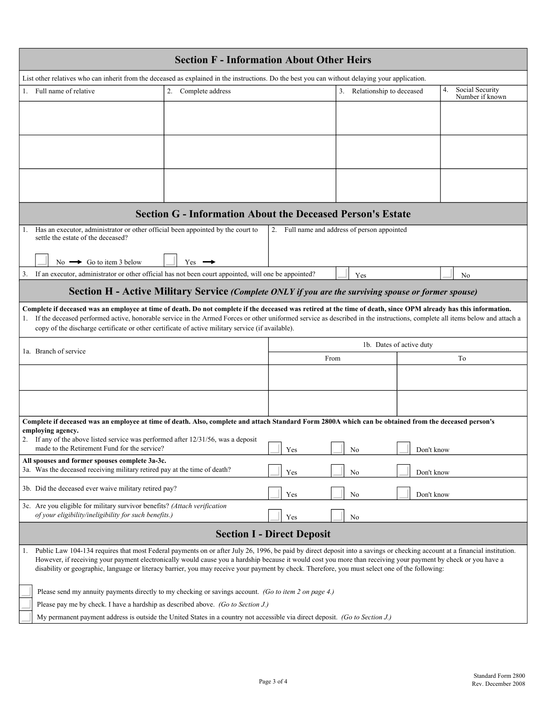| <b>Section F - Information About Other Heirs</b>                                                                                                                                                                                                                                                                                                                                                                                                                                                      |                                                                                                      |                                              |                             |            |                                          |  |  |  |
|-------------------------------------------------------------------------------------------------------------------------------------------------------------------------------------------------------------------------------------------------------------------------------------------------------------------------------------------------------------------------------------------------------------------------------------------------------------------------------------------------------|------------------------------------------------------------------------------------------------------|----------------------------------------------|-----------------------------|------------|------------------------------------------|--|--|--|
| List other relatives who can inherit from the deceased as explained in the instructions. Do the best you can without delaying your application.                                                                                                                                                                                                                                                                                                                                                       |                                                                                                      |                                              |                             |            |                                          |  |  |  |
| 1. Full name of relative                                                                                                                                                                                                                                                                                                                                                                                                                                                                              | 2. Complete address                                                                                  |                                              | 3. Relationship to deceased |            | Social Security<br>4.<br>Number if known |  |  |  |
|                                                                                                                                                                                                                                                                                                                                                                                                                                                                                                       |                                                                                                      |                                              |                             |            |                                          |  |  |  |
|                                                                                                                                                                                                                                                                                                                                                                                                                                                                                                       |                                                                                                      |                                              |                             |            |                                          |  |  |  |
|                                                                                                                                                                                                                                                                                                                                                                                                                                                                                                       |                                                                                                      |                                              |                             |            |                                          |  |  |  |
|                                                                                                                                                                                                                                                                                                                                                                                                                                                                                                       |                                                                                                      |                                              |                             |            |                                          |  |  |  |
|                                                                                                                                                                                                                                                                                                                                                                                                                                                                                                       |                                                                                                      |                                              |                             |            |                                          |  |  |  |
|                                                                                                                                                                                                                                                                                                                                                                                                                                                                                                       |                                                                                                      |                                              |                             |            |                                          |  |  |  |
|                                                                                                                                                                                                                                                                                                                                                                                                                                                                                                       | <b>Section G - Information About the Deceased Person's Estate</b>                                    |                                              |                             |            |                                          |  |  |  |
| Has an executor, administrator or other official been appointed by the court to<br>1.<br>settle the estate of the deceased?                                                                                                                                                                                                                                                                                                                                                                           |                                                                                                      | 2. Full name and address of person appointed |                             |            |                                          |  |  |  |
|                                                                                                                                                                                                                                                                                                                                                                                                                                                                                                       |                                                                                                      |                                              |                             |            |                                          |  |  |  |
| No $\rightarrow$ Go to item 3 below                                                                                                                                                                                                                                                                                                                                                                                                                                                                   | $Yes$ $\rightarrow$                                                                                  |                                              |                             |            |                                          |  |  |  |
| 3. If an executor, administrator or other official has not been court appointed, will one be appointed?                                                                                                                                                                                                                                                                                                                                                                                               |                                                                                                      |                                              | Yes                         |            | No                                       |  |  |  |
|                                                                                                                                                                                                                                                                                                                                                                                                                                                                                                       | Section H - Active Military Service (Complete ONLY if you are the surviving spouse or former spouse) |                                              |                             |            |                                          |  |  |  |
| Complete if deceased was an employee at time of death. Do not complete if the deceased was retired at the time of death, since OPM already has this information.                                                                                                                                                                                                                                                                                                                                      |                                                                                                      |                                              |                             |            |                                          |  |  |  |
| If the deceased performed active, honorable service in the Armed Forces or other uniformed service as described in the instructions, complete all items below and attach a<br>1.<br>copy of the discharge certificate or other certificate of active military service (if available).                                                                                                                                                                                                                 |                                                                                                      |                                              |                             |            |                                          |  |  |  |
|                                                                                                                                                                                                                                                                                                                                                                                                                                                                                                       |                                                                                                      |                                              | 1b. Dates of active duty    |            |                                          |  |  |  |
| 1a. Branch of service                                                                                                                                                                                                                                                                                                                                                                                                                                                                                 |                                                                                                      | From                                         |                             |            | To                                       |  |  |  |
|                                                                                                                                                                                                                                                                                                                                                                                                                                                                                                       |                                                                                                      |                                              |                             |            |                                          |  |  |  |
|                                                                                                                                                                                                                                                                                                                                                                                                                                                                                                       |                                                                                                      |                                              |                             |            |                                          |  |  |  |
|                                                                                                                                                                                                                                                                                                                                                                                                                                                                                                       |                                                                                                      |                                              |                             |            |                                          |  |  |  |
|                                                                                                                                                                                                                                                                                                                                                                                                                                                                                                       |                                                                                                      |                                              |                             |            |                                          |  |  |  |
| Complete if deceased was an employee at time of death. Also, complete and attach Standard Form 2800A which can be obtained from the deceased person's<br>employing agency.                                                                                                                                                                                                                                                                                                                            |                                                                                                      |                                              |                             |            |                                          |  |  |  |
| 2. If any of the above listed service was performed after 12/31/56, was a deposit                                                                                                                                                                                                                                                                                                                                                                                                                     |                                                                                                      |                                              |                             |            |                                          |  |  |  |
| made to the Retirement Fund for the service?                                                                                                                                                                                                                                                                                                                                                                                                                                                          |                                                                                                      | $\blacksquare$<br>Yes                        | No                          | Don't know |                                          |  |  |  |
| All spouses and former spouses complete 3a-3c.<br>3a. Was the deceased receiving military retired pay at the time of death?                                                                                                                                                                                                                                                                                                                                                                           |                                                                                                      | Yes                                          | No                          | Don't know |                                          |  |  |  |
|                                                                                                                                                                                                                                                                                                                                                                                                                                                                                                       |                                                                                                      |                                              |                             |            |                                          |  |  |  |
| 3b. Did the deceased ever waive military retired pay?                                                                                                                                                                                                                                                                                                                                                                                                                                                 |                                                                                                      | Yes                                          | No                          | Don't know |                                          |  |  |  |
| 3c. Are you eligible for military survivor benefits? (Attach verification<br>of your eligibility/ineligibility for such benefits.)                                                                                                                                                                                                                                                                                                                                                                    |                                                                                                      | Yes                                          | No                          |            |                                          |  |  |  |
| <b>Section I - Direct Deposit</b>                                                                                                                                                                                                                                                                                                                                                                                                                                                                     |                                                                                                      |                                              |                             |            |                                          |  |  |  |
| Public Law 104-134 requires that most Federal payments on or after July 26, 1996, be paid by direct deposit into a savings or checking account at a financial institution.<br>1.<br>However, if receiving your payment electronically would cause you a hardship because it would cost you more than receiving your payment by check or you have a<br>disability or geographic, language or literacy barrier, you may receive your payment by check. Therefore, you must select one of the following: |                                                                                                      |                                              |                             |            |                                          |  |  |  |
| Please send my annuity payments directly to my checking or savings account. (Go to item 2 on page 4.)                                                                                                                                                                                                                                                                                                                                                                                                 |                                                                                                      |                                              |                             |            |                                          |  |  |  |
| Please pay me by check. I have a hardship as described above. (Go to Section J.)                                                                                                                                                                                                                                                                                                                                                                                                                      |                                                                                                      |                                              |                             |            |                                          |  |  |  |
| My permanent payment address is outside the United States in a country not accessible via direct deposit. (Go to Section J.)                                                                                                                                                                                                                                                                                                                                                                          |                                                                                                      |                                              |                             |            |                                          |  |  |  |